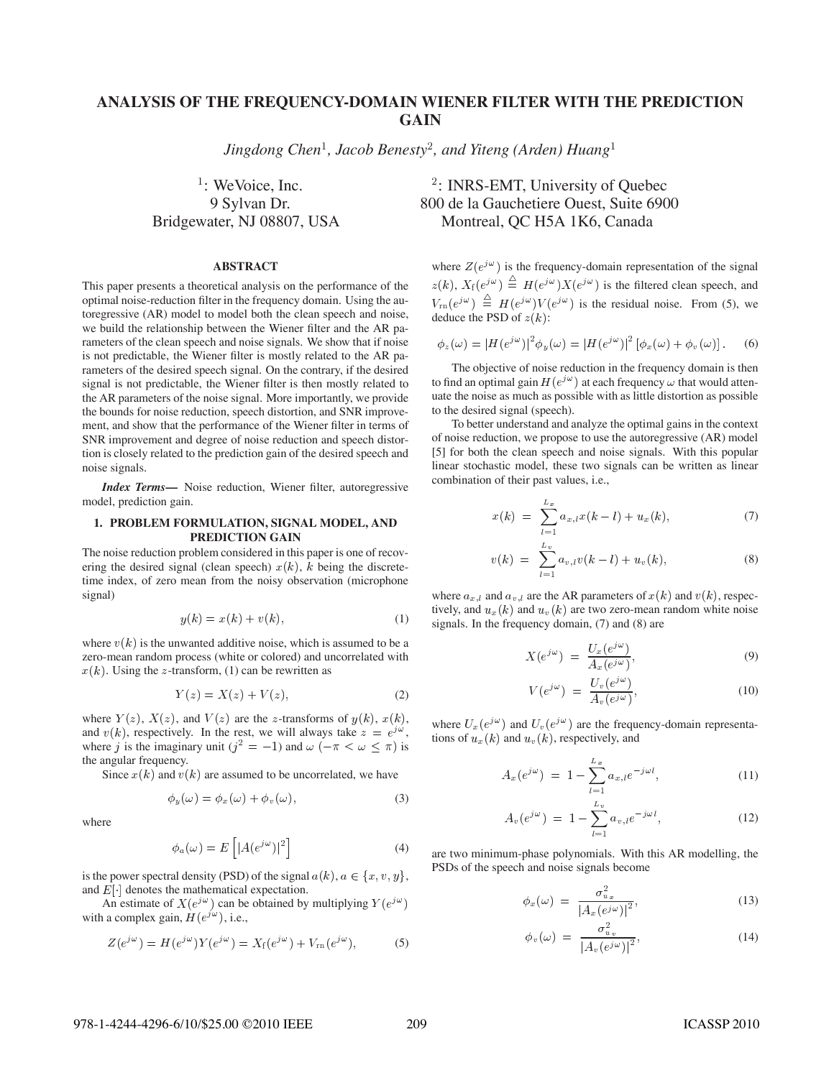# **ANALYSIS OF THE FREQUENCY-DOMAIN WIENER FILTER WITH THE PREDICTION GAIN**

 $Jingdong$  Chen<sup>1</sup>, Jacob Benesty<sup>2</sup>, and Yiteng (Arden) Huang<sup>1</sup>

 $\frac{1}{1}$ : We Voice, Inc.

#### **ABSTRACT**

This paper presents a theoretical analysis on the performance of the optimal noise-reduction filter in the frequency domain. Using the autoregressive (AR) model to model both the clean speech and noise, we build the relationship between the Wiener filter and the AR parameters of the clean speech and noise signals. We show that if noise is not predictable, the Wiener filter is mostly related to the AR parameters of the desired speech signal. On the contrary, if the desired signal is not predictable, the Wiener filter is then mostly related to the AR parameters of the noise signal. More importantly, we provide the bounds for noise reduction, speech distortion, and SNR improvement, and show that the performance of the Wiener filter in terms of SNR improvement and degree of noise reduction and speech distortion is closely related to the prediction gain of the desired speech and noise signals.

*Index Terms***—** Noise reduction, Wiener filter, autoregressive model, prediction gain.

## **1. PROBLEM FORMULATION, SIGNAL MODEL, AND PREDICTION GAIN**

The noise reduction problem considered in this paper is one of recovering the desired signal (clean speech)  $x(k)$ , k being the discretetime index, of zero mean from the noisy observation (microphone signal)

$$
y(k) = x(k) + v(k),\tag{1}
$$

where  $v(k)$  is the unwanted additive noise, which is assumed to be a zero-mean random process (white or colored) and uncorrelated with  $x(k)$ . Using the z-transform, (1) can be rewritten as

$$
Y(z) = X(z) + V(z),\tag{2}
$$

where  $Y(z)$ ,  $X(z)$ , and  $V(z)$  are the z-transforms of  $y(k)$ ,  $x(k)$ , and  $v(k)$ , respectively. In the rest, we will always take  $z = e^{j\omega}$ , where j is the imaginary unit ( $j^2 = -1$ ) and  $\omega$  ( $-\pi < \omega \le \pi$ ) is the angular frequency.

Since  $x(k)$  and  $v(k)$  are assumed to be uncorrelated, we have

$$
\phi_y(\omega) = \phi_x(\omega) + \phi_v(\omega), \tag{3}
$$

where

$$
\phi_a(\omega) = E\left[|A(e^{j\omega})|^2\right] \tag{4}
$$

is the power spectral density (PSD) of the signal  $a(k)$ ,  $a \in \{x, v, y\}$ , and  $E[\cdot]$  denotes the mathematical expectation.

An estimate of  $X(e^{j\omega})$  can be obtained by multiplying  $Y(e^{j\omega})$ with a complex gain,  $H(e^{j\omega})$ , i.e.,

$$
Z(e^{j\omega}) = H(e^{j\omega})Y(e^{j\omega}) = X_f(e^{j\omega}) + V_{\rm rn}(e^{j\omega}),\tag{5}
$$

# : INRS-EMT, University of Quebec 9 Sylvan Dr. 800 de la Gauchetiere Ouest, Suite 6900 Bridgewater, NJ 08807, USA Montreal, QC H5A 1K6, Canada

where  $Z(e^{j\omega})$  is the frequency-domain representation of the signal  $z(k), X_{\rm f}(e^{j\omega}) \stackrel{\triangle}{=} H(e^{j\omega})X(e^{j\omega})$  is the filtered clean speech, and  $V_{\rm rn}(e^{j\omega}) \equiv H(e^{j\omega})V(e^{j\omega})$  is the residual noise. From (5), we deduce the PSD of  $z(k)$ :

$$
\phi_z(\omega) = |H(e^{j\omega})|^2 \phi_y(\omega) = |H(e^{j\omega})|^2 [\phi_x(\omega) + \phi_v(\omega)].
$$
 (6)

The objective of noise reduction in the frequency domain is then to find an optimal gain  $H(e^{j\omega})$  at each frequency  $\omega$  that would attenuate the noise as much as possible with as little distortion as possible to the desired signal (speech).

To better understand and analyze the optimal gains in the context of noise reduction, we propose to use the autoregressive (AR) model [5] for both the clean speech and noise signals. With this popular linear stochastic model, these two signals can be written as linear combination of their past values, i.e.,

$$
x(k) = \sum_{l=1}^{L_x} a_{x,l} x(k-l) + u_x(k), \tag{7}
$$

$$
v(k) = \sum_{l=1}^{L_v} a_{v,l} v(k-l) + u_v(k), \qquad (8)
$$

where  $a_{x,l}$  and  $a_{v,l}$  are the AR parameters of  $x(k)$  and  $v(k)$ , respectively, and  $u_x(k)$  and  $u_y(k)$  are two zero-mean random white noise signals. In the frequency domain, (7) and (8) are

$$
X(e^{j\omega}) = \frac{U_x(e^{j\omega})}{A_x(e^{j\omega})},\tag{9}
$$

$$
V(e^{j\omega}) = \frac{U_v(e^{j\omega})}{A_v(e^{j\omega})},\tag{10}
$$

where  $U_x(e^{j\omega})$  and  $U_y(e^{j\omega})$  are the frequency-domain representations of  $u_x(k)$  and  $u_y(k)$ , respectively, and

$$
A_x(e^{j\omega}) = 1 - \sum_{l=1}^{L_x} a_{x,l} e^{-j\omega l}, \qquad (11)
$$

$$
A_v(e^{j\omega}) = 1 - \sum_{l=1}^{L_v} a_{v,l} e^{-j\omega l}, \qquad (12)
$$

are two minimum-phase polynomials. With this AR modelling, the PSDs of the speech and noise signals become

$$
\phi_x(\omega) = \frac{\sigma_{u_x}^2}{|A_x(e^{j\omega})|^2},\tag{13}
$$

$$
\phi_v(\omega) = \frac{\sigma_{u_v}^2}{|A_v(e^{j\omega})|^2},\tag{14}
$$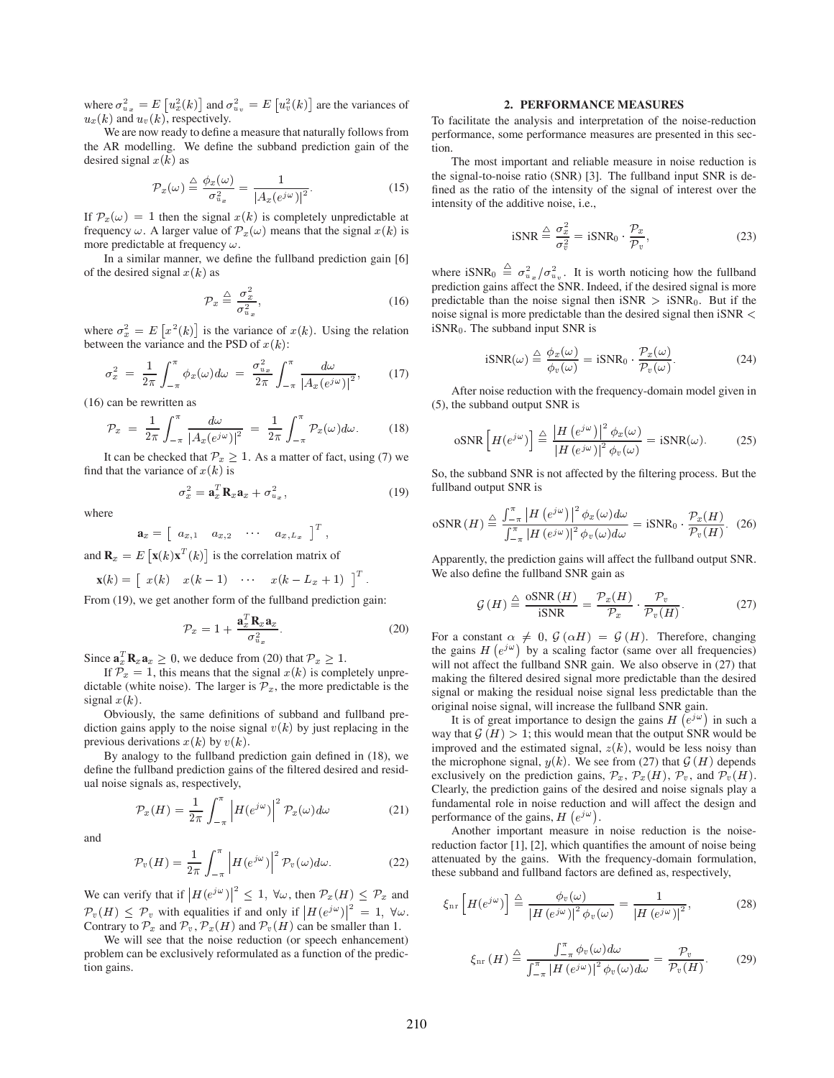where  $\sigma_{u_x}^2 = E[u_x^2(k)]$  and  $\sigma_{u_y}^2 = E[u_v^2(k)]$  are the variances of  $u_x(k)$  and  $u_y(k)$ , respectively.

We are now ready to define a measure that naturally follows from the AR modelling. We define the subband prediction gain of the desired signal  $x(k)$  as

$$
\mathcal{P}_x(\omega) \stackrel{\triangle}{=} \frac{\phi_x(\omega)}{\sigma_{u_x}^2} = \frac{1}{|A_x(e^{j\omega})|^2}.
$$
 (15)

If  $\mathcal{P}_x(\omega) = 1$  then the signal  $x(k)$  is completely unpredictable at frequency  $\omega$ . A larger value of  $\mathcal{P}_x(\omega)$  means that the signal  $x(k)$  is more predictable at frequency  $\omega$ .

In a similar manner, we define the fullband prediction gain [6] of the desired signal  $x(k)$  as

$$
\mathcal{P}_x \stackrel{\Delta}{=} \frac{\sigma_x^2}{\sigma_{u_x}^2},\tag{16}
$$

where  $\sigma_x^2 = E[x^2(k)]$  is the variance of  $x(k)$ . Using the relation between the variance and the PSD of  $x(k)$ :

$$
\sigma_x^2 = \frac{1}{2\pi} \int_{-\pi}^{\pi} \phi_x(\omega) d\omega = \frac{\sigma_{u_x}^2}{2\pi} \int_{-\pi}^{\pi} \frac{d\omega}{|A_x(e^{j\omega})|^2},
$$
(17)

 (16) can be rewritten as

$$
\mathcal{P}_x = \frac{1}{2\pi} \int_{-\pi}^{\pi} \frac{d\omega}{|A_x(e^{j\omega})|^2} = \frac{1}{2\pi} \int_{-\pi}^{\pi} \mathcal{P}_x(\omega) d\omega.
$$
 (18)

It can be checked that  $\mathcal{P}_x \geq 1$ . As a matter of fact, using (7) we find that the variance of  $x(k)$  is

$$
\sigma_x^2 = \mathbf{a}_x^T \mathbf{R}_x \mathbf{a}_x + \sigma_{u_x}^2, \tag{19}
$$

where

$$
\mathbf{a}_x = \begin{bmatrix} a_{x,1} & a_{x,2} & \cdots & a_{x,L_x} \end{bmatrix}^T,
$$

and  $\mathbf{R}_x = E\left[\mathbf{x}(k)\mathbf{x}^T(k)\right]$  is the correlation matrix of

$$
\mathbf{x}(k) = \begin{bmatrix} x(k) & x(k-1) & \cdots & x(k-L_x+1) \end{bmatrix}^T.
$$

From (19), we get another form of the fullband prediction gain:

$$
\mathcal{P}_x = 1 + \frac{\mathbf{a}_x^T \mathbf{R}_x \mathbf{a}_x}{\sigma_{u_x}^2}.
$$
 (20)

Since  $\mathbf{a}_x^T \mathbf{R}_x \mathbf{a}_x \geq 0$ , we deduce from (20) that  $\mathcal{P}_x \geq 1$ .

If  $\mathcal{P}_x = 1$ , this means that the signal  $x(k)$  is completely unpredictable (white noise). The larger is  $\mathcal{P}_x$ , the more predictable is the signal  $x(k)$ .

Obviously, the same definitions of subband and fullband prediction gains apply to the noise signal  $v(k)$  by just replacing in the previous derivations  $x(k)$  by  $v(k)$ .

By analogy to the fullband prediction gain defined in (18), we define the fullband prediction gains of the filtered desired and residual noise signals as, respectively,

$$
\mathcal{P}_x(H) = \frac{1}{2\pi} \int_{-\pi}^{\pi} \left| H(e^{j\omega}) \right|^2 \mathcal{P}_x(\omega) d\omega \tag{21}
$$

and

$$
\mathcal{P}_{v}(H) = \frac{1}{2\pi} \int_{-\pi}^{\pi} \left| H(e^{j\omega}) \right|^2 \mathcal{P}_{v}(\omega) d\omega.
$$
 (22)

We can verify that if  $|H(e^{j\omega})|^2 \leq 1$ ,  $\forall \omega$ , then  $\mathcal{P}_x(H) \leq \mathcal{P}_x$  and  $\mathcal{P}_{v}(H) \leq \mathcal{P}_{v}$  with equalities if and only if  $|H(e^{j\omega})|^2 = 1$ ,  $\forall \omega$ . Contrary to  $\mathcal{P}_x$  and  $\mathcal{P}_v$ ,  $\mathcal{P}_x(H)$  and  $\mathcal{P}_v(H)$  can be smaller than 1.

We will see that the noise reduction (or speech enhancement) problem can be exclusively reformulated as a function of the prediction gains.

## **2. PERFORMANCE MEASURES**

To facilitate the analysis and interpretation of the noise-reduction performance, some performance measures are presented in this section.

The most important and reliable measure in noise reduction is the signal-to-noise ratio (SNR) [3]. The fullband input SNR is defined as the ratio of the intensity of the signal of interest over the intensity of the additive noise, i.e.,

$$
iSNR \stackrel{\triangle}{=} \frac{\sigma_x^2}{\sigma_v^2} = iSNR_0 \cdot \frac{\mathcal{P}_x}{\mathcal{P}_v},\tag{23}
$$

where  $iSNR_0 \triangleq \sigma_{u_x}^2/\sigma_{u_y}^2$ . It is worth noticing how the fullband prediction gains affect the SNR. Indeed, if the desired signal is more predictable than the noise signal then  $iSNR > iSNR_0$ . But if the noise signal is more predictable than the desired signal then  $iSNR <$  $iSNR<sub>0</sub>$ . The subband input SNR is

$$
iSNR(\omega) \stackrel{\triangle}{=} \frac{\phi_x(\omega)}{\phi_v(\omega)} = iSNR_0 \cdot \frac{\mathcal{P}_x(\omega)}{\mathcal{P}_v(\omega)}.
$$
 (24)

After noise reduction with the frequency-domain model given in (5), the subband output SNR is

$$
\text{oSNR}\left[H(e^{j\omega})\right] \stackrel{\triangle}{=} \frac{\left|H\left(e^{j\omega}\right)\right|^2 \phi_x(\omega)}{\left|H\left(e^{j\omega}\right)\right|^2 \phi_v(\omega)} = \text{iSNR}(\omega). \tag{25}
$$

So, the subband SNR is not affected by the filtering process. But the fullband output SNR is

$$
\text{oSNR}\left(H\right) \stackrel{\triangle}{=} \frac{\int_{-\pi}^{\pi} \left|H\left(e^{j\,\omega}\right)\right|^2 \phi_x(\omega) d\omega}{\int_{-\pi}^{\pi} \left|H\left(e^{j\,\omega}\right)\right|^2 \phi_v(\omega) d\omega} = \text{iSNR}_0 \cdot \frac{\mathcal{P}_x(H)}{\mathcal{P}_v(H)}. \tag{26}
$$

 Apparently, the prediction gains will affect the fullband output SNR. We also define the fullband SNR gain as

$$
\mathcal{G}(H) \stackrel{\triangle}{=} \frac{\text{osNR}(H)}{\text{iSNR}} = \frac{\mathcal{P}_x(H)}{\mathcal{P}_x} \cdot \frac{\mathcal{P}_v}{\mathcal{P}_v(H)}.\tag{27}
$$

For a constant  $\alpha \neq 0$ ,  $\mathcal{G}(\alpha H) = \mathcal{G}(H)$ . Therefore, changing the gains  $H(e^{j\omega})$  by a scaling factor (same over all frequencies) will not affect the fullband SNR gain. We also observe in  $(27)$  that making the filtered desired signal more predictable than the desired signal or making the residual noise signal less predictable than the original noise signal, will increase the fullband SNR gain.

It is of great importance to design the gains  $H(e^{j\omega})$  in such a way that  $\mathcal{G}(H) > 1$ ; this would mean that the output SNR would be improved and the estimated signal,  $z(k)$ , would be less noisy than the microphone signal,  $y(k)$ . We see from (27) that  $\mathcal{G}(H)$  depends exclusively on the prediction gains,  $\mathcal{P}_x$ ,  $\mathcal{P}_x(H)$ ,  $\mathcal{P}_v$ , and  $\mathcal{P}_v(H)$ . Clearly, the prediction gains of the desired and noise signals play a fundamental role in noise reduction and will affect the design and performance of the gains,  $H(e^{j\omega})$ .

Another important measure in noise reduction is the noisereduction factor [1], [2], which quantifies the amount of noise being attenuated by the gains. With the frequency-domain formulation, these subband and fullband factors are defined as, respectively,

$$
\xi_{\rm nr}\left[H(e^{j\omega})\right] \stackrel{\triangle}{=} \frac{\phi_v(\omega)}{|H(e^{j\omega})|^2 \phi_v(\omega)} = \frac{1}{|H(e^{j\omega})|^2},\tag{28}
$$

$$
\xi_{\rm nr}(H) \stackrel{\triangle}{=} \frac{\int_{-\pi}^{\pi} \phi_v(\omega) d\omega}{\int_{-\pi}^{\pi} |H(e^{j\omega})|^2 \phi_v(\omega) d\omega} = \frac{\mathcal{P}_v}{\mathcal{P}_v(H)}.
$$
 (29)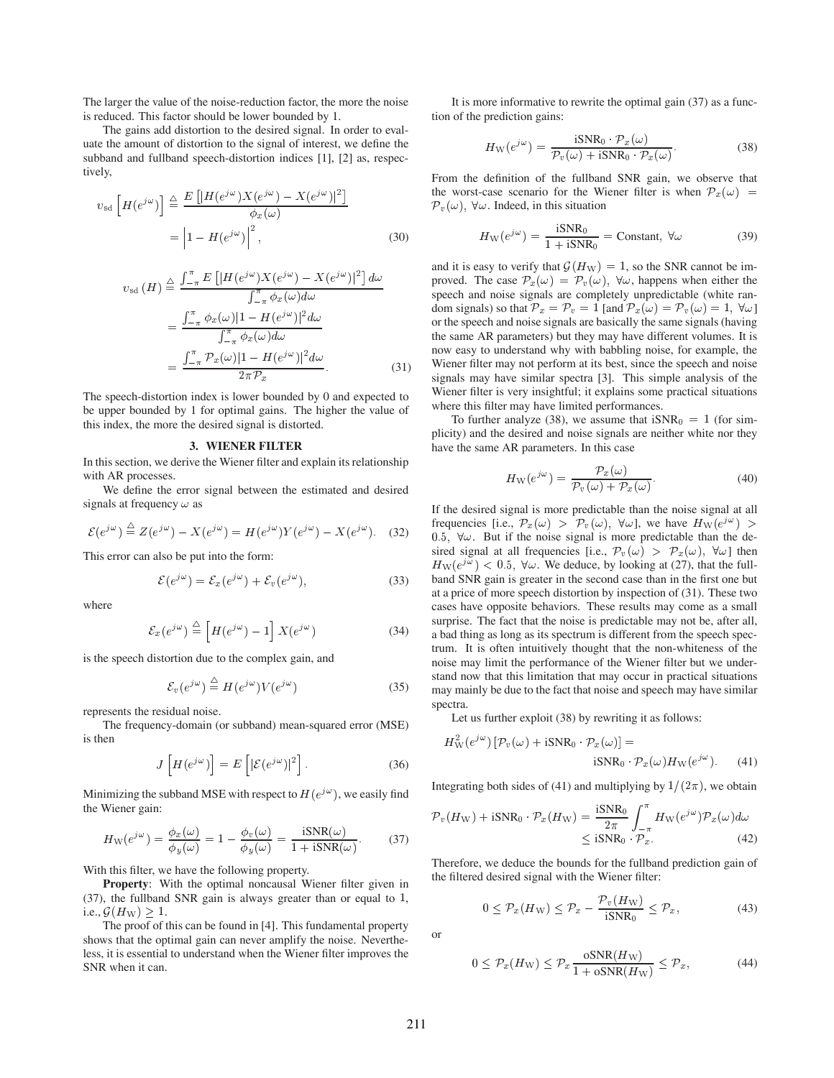The larger the value of the noise-reduction factor, the more the noise is reduced. This factor should be lower bounded by 1.

The gains add distortion to the desired signal. In order to evaluate the amount of distortion to the signal of interest, we define the subband and fullband speech-distortion indices [1], [2] as, respectively,

$$
v_{\rm sd}\left[H(e^{j\omega})\right] \stackrel{\triangle}{=} \frac{E\left[|H(e^{j\omega})X(e^{j\omega}) - X(e^{j\omega})|^2\right]}{\phi_x(\omega)}
$$

$$
= \left|1 - H(e^{j\omega})\right|^2,\tag{30}
$$

$$
v_{sd}(H) \stackrel{\triangle}{=} \frac{\int_{-\pi}^{\pi} E\left[|H(e^{j\omega})X(e^{j\omega}) - X(e^{j\omega})|^2\right] d\omega}{\int_{-\pi}^{\pi} \phi_x(\omega) d\omega} \qquad \text{as}
$$

$$
= \frac{\int_{-\pi}^{\pi} \phi_x(\omega) |1 - H(e^{j\omega})|^2 d\omega}{\int_{-\pi}^{\pi} \phi_x(\omega) d\omega} \qquad \text{at}
$$

$$
= \frac{\int_{-\pi}^{\pi} \mathcal{P}_x(\omega) |1 - H(e^{j\omega})|^2 d\omega}{2\pi \mathcal{P}_x}.
$$
(31)

The speech-distortion index is lower bounded by 0 and expected to be upper bounded by 1 for optimal gains. The higher the value of this index, the more the desired signal is distorted.

### **3. WIENER FILTER**

In this section, we derive the Wiener filter and explain its relationship with AR processes.

We define the error signal between the estimated and desired signals at frequency  $\omega$  as

$$
\mathcal{E}(e^{j\omega}) \stackrel{\triangle}{=} Z(e^{j\omega}) - X(e^{j\omega}) = H(e^{j\omega})Y(e^{j\omega}) - X(e^{j\omega}).
$$
 (32)

This error can also be put into the form:

$$
\mathcal{E}(e^{j\omega}) = \mathcal{E}_x(e^{j\omega}) + \mathcal{E}_v(e^{j\omega}),
$$
\n(33)

where

$$
\mathcal{E}_x(e^{j\,\omega}) \stackrel{\triangle}{=} \left[ H(e^{j\,\omega}) - 1 \right] X(e^{j\,\omega}) \tag{34}
$$

is the speech distortion due to the complex gain, and

$$
\mathcal{E}_v(e^{j\,\omega}) \stackrel{\triangle}{=} H(e^{j\,\omega})V(e^{j\,\omega})\tag{35}
$$

represents the residual noise.

The frequency-domain (or subband) mean-squared error (MSE) is then

$$
J\left[H(e^{j\omega})\right] = E\left[|\mathcal{E}(e^{j\omega})|^2\right].
$$
 (36)

Minimizing the subband MSE with respect to  $H(e^{j\omega})$ , we easily find the Wiener gain:

$$
H_{\rm W}(e^{j\,\omega}) = \frac{\phi_x(\omega)}{\phi_y(\omega)} = 1 - \frac{\phi_v(\omega)}{\phi_y(\omega)} = \frac{\text{iSNR}(\omega)}{1 + \text{iSNR}(\omega)}.
$$
 (37)

With this filter, we have the following property.

**Property:** With the optimal noncausal Wiener filter given in (37), the fullband SNR gain is always greater than or equal to , i.e.,  $\mathcal{G}(H_{\mathrm{W}}) \geq 1$ .

The proof of this can be found in [4]. This fundamental property shows that the optimal gain can never amplify the noise. Nevertheless, it is essential to understand when the Wiener filter improves the SNR when it can.

It is more informative to rewrite the optimal gain (37) as a function of the prediction gains:

$$
H_{\rm W}(e^{j\omega}) = \frac{\text{iSNR}_0 \cdot \mathcal{P}_x(\omega)}{\mathcal{P}_v(\omega) + \text{iSNR}_0 \cdot \mathcal{P}_x(\omega)}.
$$
(38)

From the definition of the fullband SNR gain, we observe that the worst-case scenario for the Wiener filter is when  $\mathcal{P}_x(\omega)$  =  $\mathcal{P}_{v}(\omega)$ ,  $\forall \omega$ . Indeed, in this situation

$$
H_{\rm W}(e^{j\,\omega}) = \frac{\rm iSNR_0}{1 + \rm iSNR_0} = \text{Constant}, \ \forall \omega \tag{39}
$$

and it is easy to verify that  $\mathcal{G}(H_W) = 1$ , so the SNR cannot be improved. The case  $\mathcal{P}_x(\omega) = \mathcal{P}_y(\omega)$ ,  $\forall \omega$ , happens when either the speech and noise signals are completely unpredictable (white random signals) so that  $\mathcal{P}_x = \mathcal{P}_v = 1$  [and  $\mathcal{P}_x(\omega) = \mathcal{P}_v(\omega) = 1$ ,  $\forall \omega$ ] or the speech and noise signals are basically the same signals (having the same AR parameters) but they may have different volumes. It is now easy to understand why with babbling noise, for example, the Wiener filter may not perform at its best, since the speech and noise signals may have similar spectra [3]. This simple analysis of the Wiener filter is very insightful; it explains some practical situations where this filter may have limited performances.

To further analyze (38), we assume that  $iSNR_0 = 1$  (for simplicity) and the desired and noise signals are neither white nor they have the same AR parameters. In this case

$$
H_{\rm W}(e^{j\,\omega}) = \frac{\mathcal{P}_x(\omega)}{\mathcal{P}_v(\omega) + \mathcal{P}_x(\omega)}.
$$
\n(40)

If the desired signal is more predictable than the noise signal at all frequencies [i.e.,  $\mathcal{P}_x(\omega) > \mathcal{P}_v(\omega)$ ,  $\forall \omega$ ], we have  $H_{\rm W}(e^{j\omega}) >$ 0.5,  $\forall \omega$ . But if the noise signal is more predictable than the desired signal at all frequencies [i.e.,  $\mathcal{P}_{v}(\omega) > \mathcal{P}_{x}(\omega)$ ,  $\forall \omega$ ] then  $H_{\rm W}(e^{j\omega}) < 0.5$ ,  $\forall \omega$ . We deduce, by looking at (27), that the fullband SNR gain is greater in the second case than in the first one but at a price of more speech distortion by inspection of (31). These two cases have opposite behaviors. These results may come as a small surprise. The fact that the noise is predictable may not be, after all, a bad thing as long as its spectrum is different from the speech spectrum. It is often intuitively thought that the non-whiteness of the noise may limit the performance of the Wiener filter but we understand now that this limitation that may occur in practical situations may mainly be due to the fact that noise and speech may have similar spectra.

Let us further exploit (38) by rewriting it as follows:

$$
H_{\mathcal{W}}^{2}(e^{j\omega})\left[\mathcal{P}_{v}(\omega)+i\mathcal{S}\mathcal{N}\mathcal{R}_{0}\cdot\mathcal{P}_{x}(\omega)\right]=\mathbf{i}\mathcal{S}\mathcal{N}\mathcal{R}_{0}\cdot\mathcal{P}_{x}(\omega)H_{\mathcal{W}}(e^{j\omega}).\tag{41}
$$

Integrating both sides of (41) and multiplying by  $1/(2\pi)$ , we obtain

$$
\mathcal{P}_{v}(H_{\rm W}) + iSNR_{0} \cdot \mathcal{P}_{x}(H_{\rm W}) = \frac{iSNR_{0}}{2\pi} \int_{-\pi}^{\pi} H_{\rm W}(e^{j\,\omega}) \mathcal{P}_{x}(\omega) d\omega
$$
  

$$
\leq iSNR_{0} \cdot \mathcal{P}_{x}.
$$
 (42)

Therefore, we deduce the bounds for the fullband prediction gain of the filtered desired signal with the Wiener filter:

$$
0 \le \mathcal{P}_x(H_{\rm W}) \le \mathcal{P}_x - \frac{\mathcal{P}_v(H_{\rm W})}{i \text{SNR}_0} \le \mathcal{P}_x,\tag{43}
$$

or

$$
0 \le \mathcal{P}_x(H_{\mathcal{W}}) \le \mathcal{P}_x \frac{\text{oSNR}(H_{\mathcal{W}})}{1 + \text{oSNR}(H_{\mathcal{W}})} \le \mathcal{P}_x,\tag{44}
$$